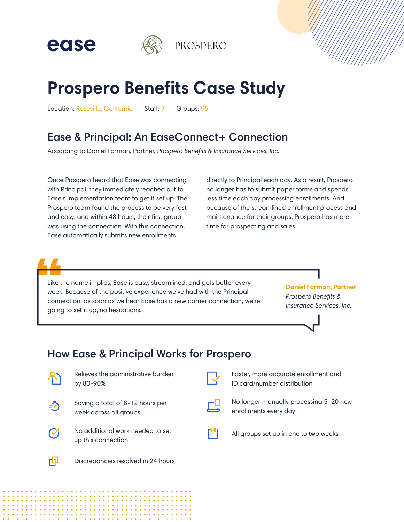

# **Prospero Benefits Case Study**

Location: Roseville, California Staff: 7 Groups: 95

ease

## **Ease & Principal: An EaseConnect+ Connection**

According to Daniel Forman, Partner, *Prospero Benefits & Insurance Services, Inc.*

Once Prospero heard that Ease was connecting with Principal, they immediately reached out to Ease's implementation team to get it set up. The Prospero team found the process to be very fast and easy, and within 48 hours, their first group was using the connection. With this connection, Ease automatically submits new enrollments

directly to Principal each day. As a result, Prospero no longer has to submit paper forms and spends less time each day processing enrollments. And, because of the streamlined enrollment process and maintenance for their groups, Prospero has more time for prospecting and sales.

Like the name implies, Ease is easy, streamlined, and gets better every week. Because of the positive experience we've had with the Principal connection, as soon as we hear Ease has a new carrier connection, we're going to set it up, no hesitations.

**Daniel Forman, Partner** *Prospero Benefits & Insurance Services, Inc.*

## How Ease & Principal Works for Prospero



Relieves the administrative burden by 80-90%



Saving a total of 8-12 hours per week across all groups



Discrepancies resolved in 24 hours



Faster, more accurate enrollment and ID card/number distribution



No longer manually processing 5–20 new enrollments every day



rQ.